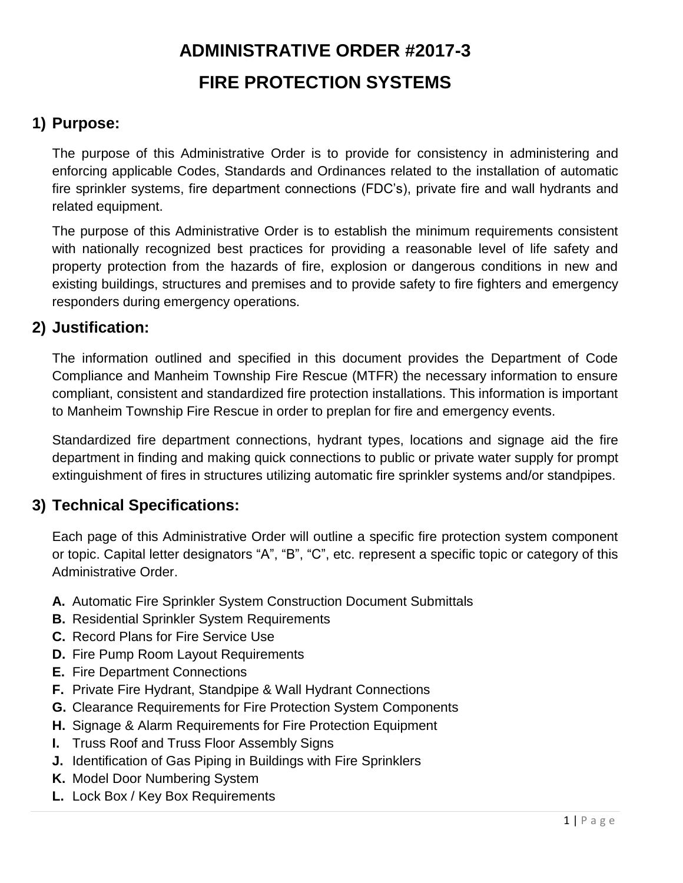## **1) Purpose:**

The purpose of this Administrative Order is to provide for consistency in administering and enforcing applicable Codes, Standards and Ordinances related to the installation of automatic fire sprinkler systems, fire department connections (FDC's), private fire and wall hydrants and related equipment.

The purpose of this Administrative Order is to establish the minimum requirements consistent with nationally recognized best practices for providing a reasonable level of life safety and property protection from the hazards of fire, explosion or dangerous conditions in new and existing buildings, structures and premises and to provide safety to fire fighters and emergency responders during emergency operations.

## **2) Justification:**

The information outlined and specified in this document provides the Department of Code Compliance and Manheim Township Fire Rescue (MTFR) the necessary information to ensure compliant, consistent and standardized fire protection installations. This information is important to Manheim Township Fire Rescue in order to preplan for fire and emergency events.

Standardized fire department connections, hydrant types, locations and signage aid the fire department in finding and making quick connections to public or private water supply for prompt extinguishment of fires in structures utilizing automatic fire sprinkler systems and/or standpipes.

## **3) Technical Specifications:**

Each page of this Administrative Order will outline a specific fire protection system component or topic. Capital letter designators "A", "B", "C", etc. represent a specific topic or category of this Administrative Order.

- **A.** Automatic Fire Sprinkler System Construction Document Submittals
- **B.** Residential Sprinkler System Requirements
- **C.** Record Plans for Fire Service Use
- **D.** Fire Pump Room Layout Requirements
- **E.** Fire Department Connections
- **F.** Private Fire Hydrant, Standpipe & Wall Hydrant Connections
- **G.** Clearance Requirements for Fire Protection System Components
- **H.** Signage & Alarm Requirements for Fire Protection Equipment
- **I.** Truss Roof and Truss Floor Assembly Signs
- **J.** Identification of Gas Piping in Buildings with Fire Sprinklers
- **K.** Model Door Numbering System
- **L.** Lock Box / Key Box Requirements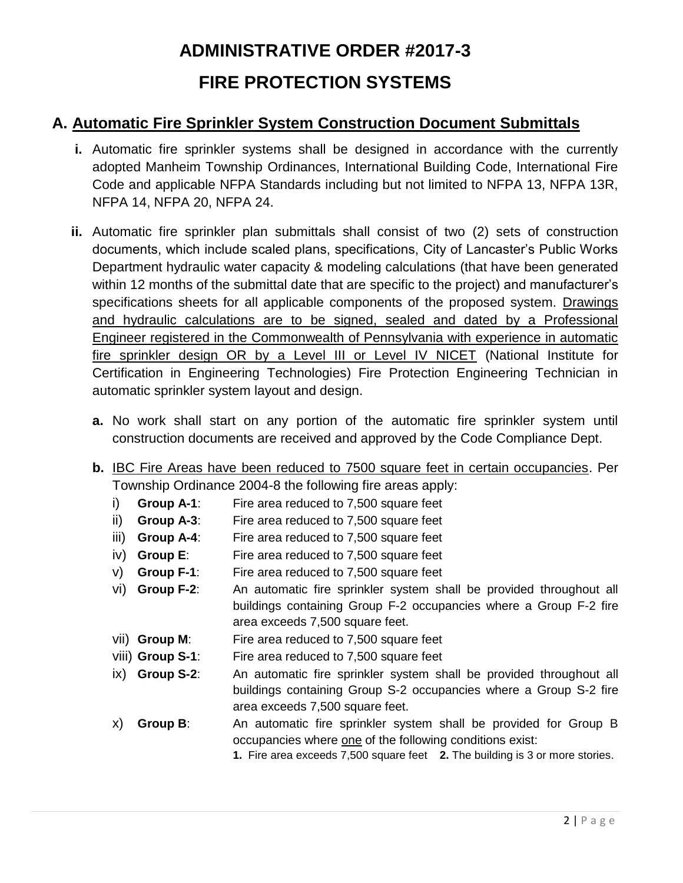## **A. Automatic Fire Sprinkler System Construction Document Submittals**

- **i.** Automatic fire sprinkler systems shall be designed in accordance with the currently adopted Manheim Township Ordinances, International Building Code, International Fire Code and applicable NFPA Standards including but not limited to NFPA 13, NFPA 13R, NFPA 14, NFPA 20, NFPA 24.
- **ii.** Automatic fire sprinkler plan submittals shall consist of two (2) sets of construction documents, which include scaled plans, specifications, City of Lancaster's Public Works Department hydraulic water capacity & modeling calculations (that have been generated within 12 months of the submittal date that are specific to the project) and manufacturer's specifications sheets for all applicable components of the proposed system. Drawings and hydraulic calculations are to be signed, sealed and dated by a Professional Engineer registered in the Commonwealth of Pennsylvania with experience in automatic fire sprinkler design OR by a Level III or Level IV NICET (National Institute for Certification in Engineering Technologies) Fire Protection Engineering Technician in automatic sprinkler system layout and design.
	- **a.** No work shall start on any portion of the automatic fire sprinkler system until construction documents are received and approved by the Code Compliance Dept.
	- **b.** IBC Fire Areas have been reduced to 7500 square feet in certain occupancies. Per Township Ordinance 2004-8 the following fire areas apply:
		- i) **Group A-1**: Fire area reduced to 7,500 square feet
		- ii) **Group A-3**: Fire area reduced to 7,500 square feet
		- iii) **Group A-4**: Fire area reduced to 7,500 square feet
		- iv) **Group E**: Fire area reduced to 7,500 square feet
		- v) **Group F-1**: Fire area reduced to 7,500 square feet
		- vi) **Group F-2**: An automatic fire sprinkler system shall be provided throughout all buildings containing Group F-2 occupancies where a Group F-2 fire area exceeds 7,500 square feet.
		- vii) **Group M**: Fire area reduced to 7,500 square feet
		- viii) **Group S-1**: Fire area reduced to 7,500 square feet
		- ix) **Group S-2**: An automatic fire sprinkler system shall be provided throughout all buildings containing Group S-2 occupancies where a Group S-2 fire area exceeds 7,500 square feet.
		- x) **Group B**: An automatic fire sprinkler system shall be provided for Group B occupancies where one of the following conditions exist:

**1.** Fire area exceeds 7,500 square feet **2.** The building is 3 or more stories.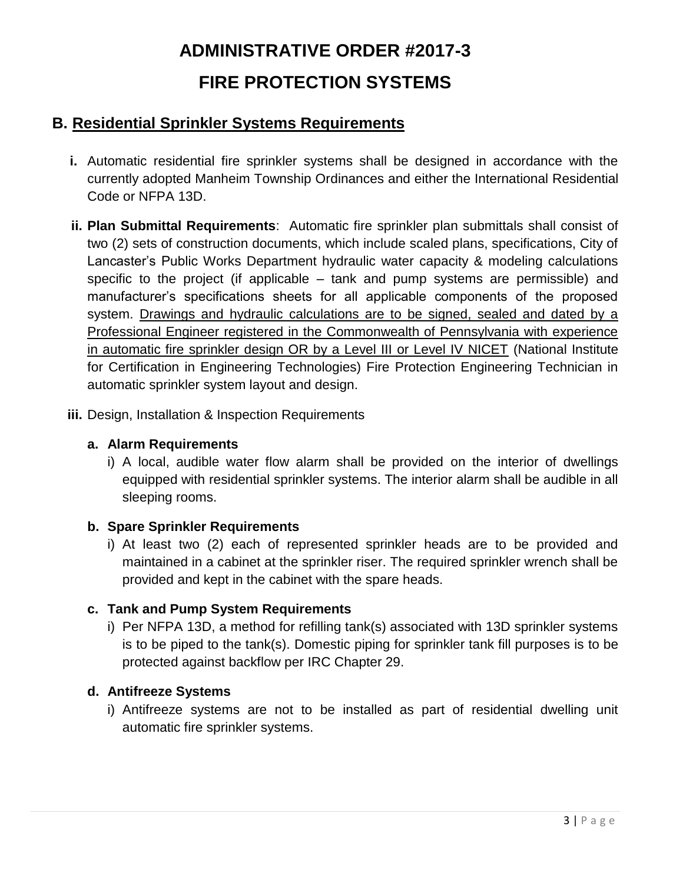## **B. Residential Sprinkler Systems Requirements**

- **i.** Automatic residential fire sprinkler systems shall be designed in accordance with the currently adopted Manheim Township Ordinances and either the International Residential Code or NFPA 13D.
- **ii. Plan Submittal Requirements**: Automatic fire sprinkler plan submittals shall consist of two (2) sets of construction documents, which include scaled plans, specifications, City of Lancaster's Public Works Department hydraulic water capacity & modeling calculations specific to the project (if applicable – tank and pump systems are permissible) and manufacturer's specifications sheets for all applicable components of the proposed system. Drawings and hydraulic calculations are to be signed, sealed and dated by a Professional Engineer registered in the Commonwealth of Pennsylvania with experience in automatic fire sprinkler design OR by a Level III or Level IV NICET (National Institute for Certification in Engineering Technologies) Fire Protection Engineering Technician in automatic sprinkler system layout and design.
- **iii.** Design, Installation & Inspection Requirements

#### **a. Alarm Requirements**

i) A local, audible water flow alarm shall be provided on the interior of dwellings equipped with residential sprinkler systems. The interior alarm shall be audible in all sleeping rooms.

#### **b. Spare Sprinkler Requirements**

i) At least two (2) each of represented sprinkler heads are to be provided and maintained in a cabinet at the sprinkler riser. The required sprinkler wrench shall be provided and kept in the cabinet with the spare heads.

#### **c. Tank and Pump System Requirements**

i) Per NFPA 13D, a method for refilling tank(s) associated with 13D sprinkler systems is to be piped to the tank(s). Domestic piping for sprinkler tank fill purposes is to be protected against backflow per IRC Chapter 29.

#### **d. Antifreeze Systems**

i) Antifreeze systems are not to be installed as part of residential dwelling unit automatic fire sprinkler systems.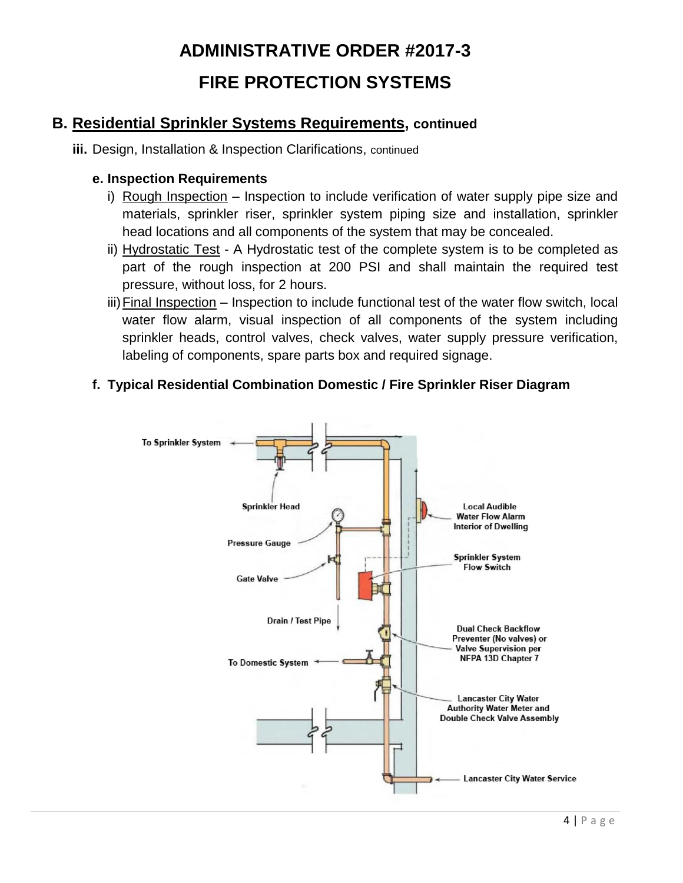## **B. Residential Sprinkler Systems Requirements, continued**

**iii.** Design, Installation & Inspection Clarifications, continued

#### **e. Inspection Requirements**

- i) Rough Inspection Inspection to include verification of water supply pipe size and materials, sprinkler riser, sprinkler system piping size and installation, sprinkler head locations and all components of the system that may be concealed.
- ii) Hydrostatic Test A Hydrostatic test of the complete system is to be completed as part of the rough inspection at 200 PSI and shall maintain the required test pressure, without loss, for 2 hours.
- iii)Final Inspection Inspection to include functional test of the water flow switch, local water flow alarm, visual inspection of all components of the system including sprinkler heads, control valves, check valves, water supply pressure verification, labeling of components, spare parts box and required signage.

### **f. Typical Residential Combination Domestic / Fire Sprinkler Riser Diagram**

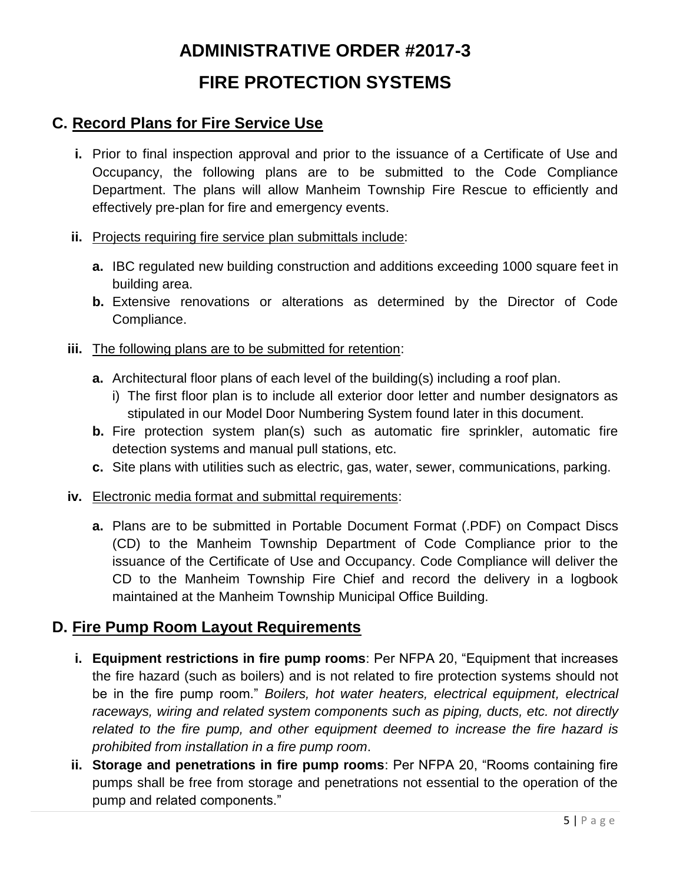## **C. Record Plans for Fire Service Use**

- **i.** Prior to final inspection approval and prior to the issuance of a Certificate of Use and Occupancy, the following plans are to be submitted to the Code Compliance Department. The plans will allow Manheim Township Fire Rescue to efficiently and effectively pre-plan for fire and emergency events.
- **ii.** Projects requiring fire service plan submittals include:
	- **a.** IBC regulated new building construction and additions exceeding 1000 square feet in building area.
	- **b.** Extensive renovations or alterations as determined by the Director of Code Compliance.
- **iii.** The following plans are to be submitted for retention:
	- **a.** Architectural floor plans of each level of the building(s) including a roof plan.
		- i) The first floor plan is to include all exterior door letter and number designators as stipulated in our Model Door Numbering System found later in this document.
	- **b.** Fire protection system plan(s) such as automatic fire sprinkler, automatic fire detection systems and manual pull stations, etc.
	- **c.** Site plans with utilities such as electric, gas, water, sewer, communications, parking.
- **iv.** Electronic media format and submittal requirements:
	- **a.** Plans are to be submitted in Portable Document Format (.PDF) on Compact Discs (CD) to the Manheim Township Department of Code Compliance prior to the issuance of the Certificate of Use and Occupancy. Code Compliance will deliver the CD to the Manheim Township Fire Chief and record the delivery in a logbook maintained at the Manheim Township Municipal Office Building.

### **D. Fire Pump Room Layout Requirements**

- **i. Equipment restrictions in fire pump rooms**: Per NFPA 20, "Equipment that increases the fire hazard (such as boilers) and is not related to fire protection systems should not be in the fire pump room." *Boilers, hot water heaters, electrical equipment, electrical raceways, wiring and related system components such as piping, ducts, etc. not directly*  related to the fire pump, and other equipment deemed to increase the fire hazard is *prohibited from installation in a fire pump room*.
- **ii. Storage and penetrations in fire pump rooms**: Per NFPA 20, "Rooms containing fire pumps shall be free from storage and penetrations not essential to the operation of the pump and related components."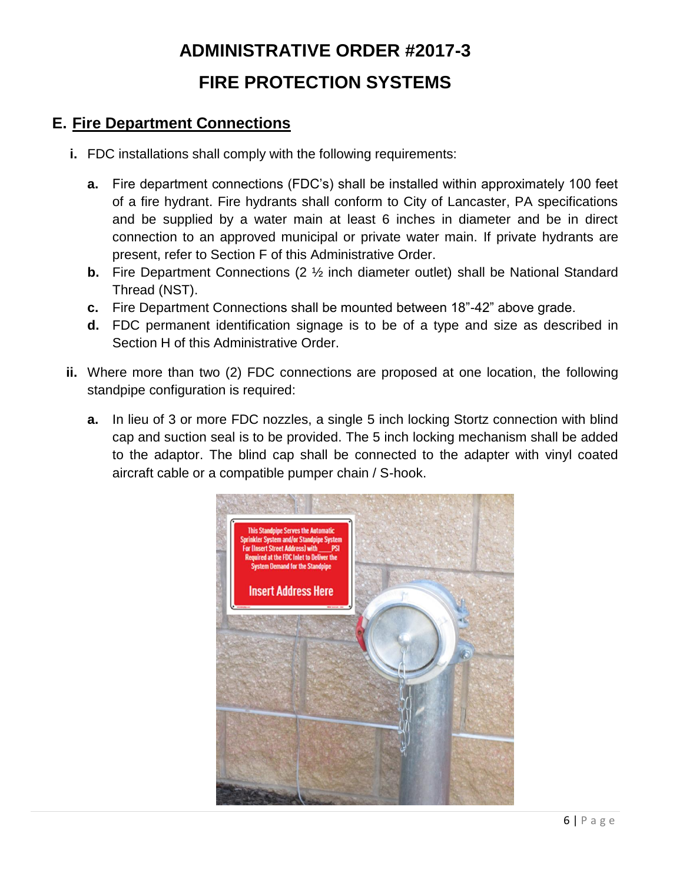## **E. Fire Department Connections**

- **i.** FDC installations shall comply with the following requirements:
	- **a.** Fire department connections (FDC's) shall be installed within approximately 100 feet of a fire hydrant. Fire hydrants shall conform to City of Lancaster, PA specifications and be supplied by a water main at least 6 inches in diameter and be in direct connection to an approved municipal or private water main. If private hydrants are present, refer to Section F of this Administrative Order.
	- **b.** Fire Department Connections (2  $\frac{1}{2}$  inch diameter outlet) shall be National Standard Thread (NST).
	- **c.** Fire Department Connections shall be mounted between 18"-42" above grade.
	- **d.** FDC permanent identification signage is to be of a type and size as described in Section H of this Administrative Order.
- **ii.** Where more than two (2) FDC connections are proposed at one location, the following standpipe configuration is required:
	- **a.** In lieu of 3 or more FDC nozzles, a single 5 inch locking Stortz connection with blind cap and suction seal is to be provided. The 5 inch locking mechanism shall be added to the adaptor. The blind cap shall be connected to the adapter with vinyl coated aircraft cable or a compatible pumper chain / S-hook.

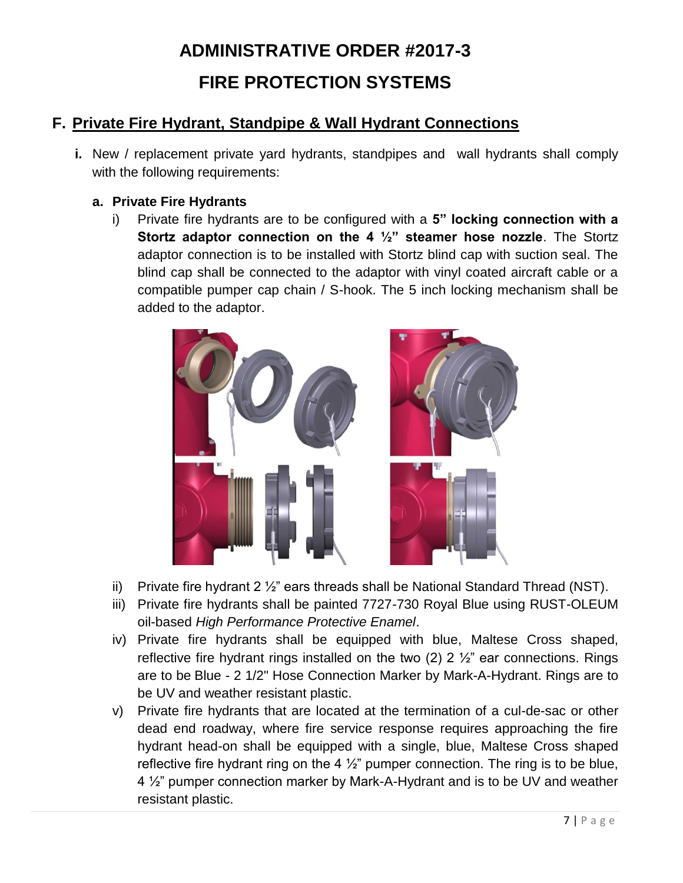## **F. Private Fire Hydrant, Standpipe & Wall Hydrant Connections**

**i.** New / replacement private yard hydrants, standpipes and wall hydrants shall comply with the following requirements:

### **a. Private Fire Hydrants**

i) Private fire hydrants are to be configured with a **5" locking connection with a Stortz adaptor connection on the 4 ½" steamer hose nozzle**. The Stortz adaptor connection is to be installed with Stortz blind cap with suction seal. The blind cap shall be connected to the adaptor with vinyl coated aircraft cable or a compatible pumper cap chain / S-hook. The 5 inch locking mechanism shall be added to the adaptor.



- ii) Private fire hydrant 2  $\frac{1}{2}$ " ears threads shall be National Standard Thread (NST).
- iii) Private fire hydrants shall be painted 7727-730 Royal Blue using RUST-OLEUM oil-based *High Performance Protective Enamel*.
- iv) Private fire hydrants shall be equipped with blue, Maltese Cross shaped, reflective fire hydrant rings installed on the two  $(2)$  2  $\frac{1}{2}$ " ear connections. Rings are to be Blue - 2 1/2" Hose Connection Marker by Mark-A-Hydrant. Rings are to be UV and weather resistant plastic.
- v) Private fire hydrants that are located at the termination of a cul-de-sac or other dead end roadway, where fire service response requires approaching the fire hydrant head-on shall be equipped with a single, blue, Maltese Cross shaped reflective fire hydrant ring on the 4  $\frac{1}{2}$ " pumper connection. The ring is to be blue, 4 ½" pumper connection marker by Mark-A-Hydrant and is to be UV and weather resistant plastic.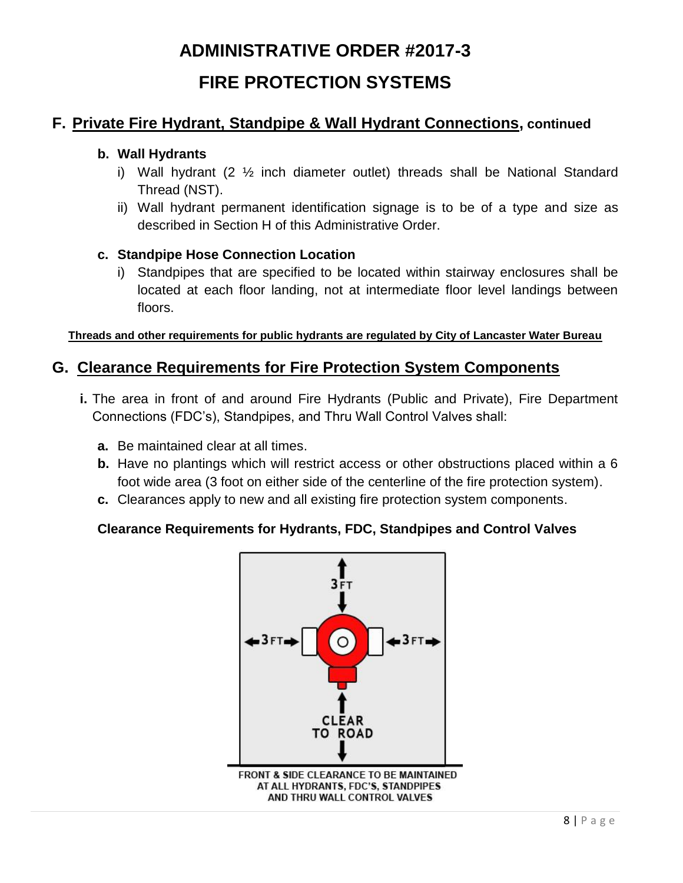### **F. Private Fire Hydrant, Standpipe & Wall Hydrant Connections, continued**

#### **b. Wall Hydrants**

- i) Wall hydrant (2 ½ inch diameter outlet) threads shall be National Standard Thread (NST).
- ii) Wall hydrant permanent identification signage is to be of a type and size as described in Section H of this Administrative Order.

#### **c. Standpipe Hose Connection Location**

i) Standpipes that are specified to be located within stairway enclosures shall be located at each floor landing, not at intermediate floor level landings between floors.

#### **Threads and other requirements for public hydrants are regulated by City of Lancaster Water Bureau**

### **G. Clearance Requirements for Fire Protection System Components**

- **i.** The area in front of and around Fire Hydrants (Public and Private), Fire Department Connections (FDC's), Standpipes, and Thru Wall Control Valves shall:
	- **a.** Be maintained clear at all times.
	- **b.** Have no plantings which will restrict access or other obstructions placed within a 6 foot wide area (3 foot on either side of the centerline of the fire protection system).
	- **c.** Clearances apply to new and all existing fire protection system components.

### **Clearance Requirements for Hydrants, FDC, Standpipes and Control Valves**

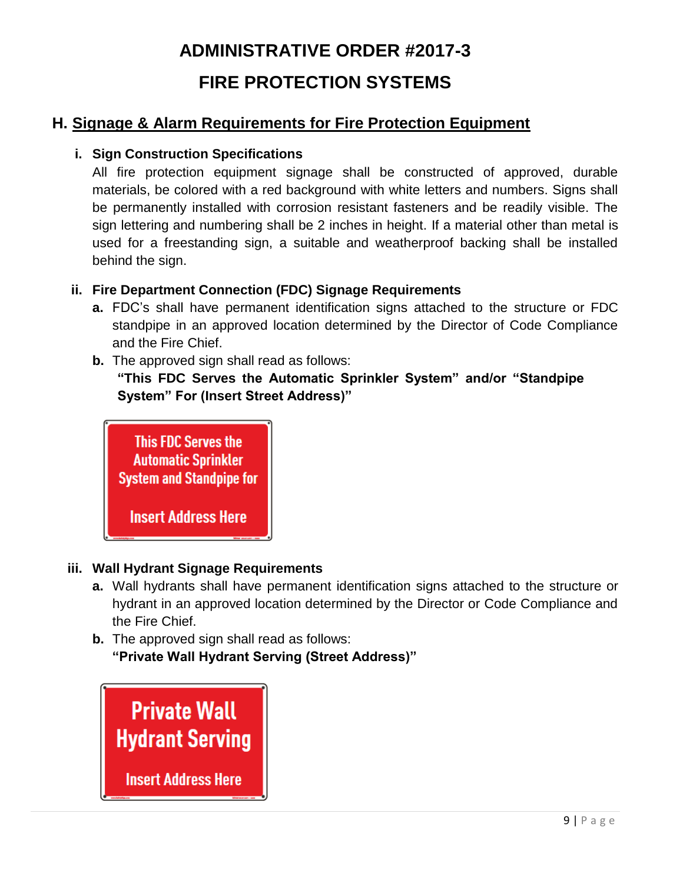## **H. Signage & Alarm Requirements for Fire Protection Equipment**

#### **i. Sign Construction Specifications**

All fire protection equipment signage shall be constructed of approved, durable materials, be colored with a red background with white letters and numbers. Signs shall be permanently installed with corrosion resistant fasteners and be readily visible. The sign lettering and numbering shall be 2 inches in height. If a material other than metal is used for a freestanding sign, a suitable and weatherproof backing shall be installed behind the sign.

### **ii. Fire Department Connection (FDC) Signage Requirements**

- **a.** FDC's shall have permanent identification signs attached to the structure or FDC standpipe in an approved location determined by the Director of Code Compliance and the Fire Chief.
- **b.** The approved sign shall read as follows: **"This FDC Serves the Automatic Sprinkler System" and/or "Standpipe System" For (Insert Street Address)"**



### **iii. Wall Hydrant Signage Requirements**

- **a.** Wall hydrants shall have permanent identification signs attached to the structure or hydrant in an approved location determined by the Director or Code Compliance and the Fire Chief.
- **b.** The approved sign shall read as follows: **"Private Wall Hydrant Serving (Street Address)"**

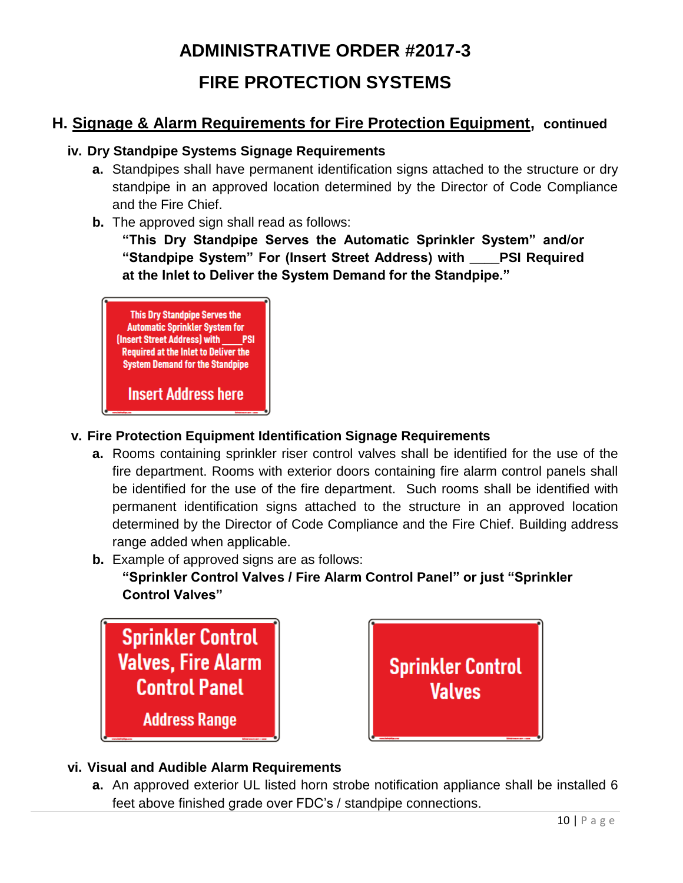## **H. Signage & Alarm Requirements for Fire Protection Equipment, continued**

### **iv. Dry Standpipe Systems Signage Requirements**

- **a.** Standpipes shall have permanent identification signs attached to the structure or dry standpipe in an approved location determined by the Director of Code Compliance and the Fire Chief.
- **b.** The approved sign shall read as follows:

**"This Dry Standpipe Serves the Automatic Sprinkler System" and/or "Standpipe System" For (Insert Street Address) with \_\_\_\_PSI Required at the Inlet to Deliver the System Demand for the Standpipe."**



### **v. Fire Protection Equipment Identification Signage Requirements**

- **a.** Rooms containing sprinkler riser control valves shall be identified for the use of the fire department. Rooms with exterior doors containing fire alarm control panels shall be identified for the use of the fire department. Such rooms shall be identified with permanent identification signs attached to the structure in an approved location determined by the Director of Code Compliance and the Fire Chief. Building address range added when applicable.
- **b.** Example of approved signs are as follows:

**"Sprinkler Control Valves / Fire Alarm Control Panel" or just "Sprinkler Control Valves"**





### **vi. Visual and Audible Alarm Requirements**

**a.** An approved exterior UL listed horn strobe notification appliance shall be installed 6 feet above finished grade over FDC's / standpipe connections.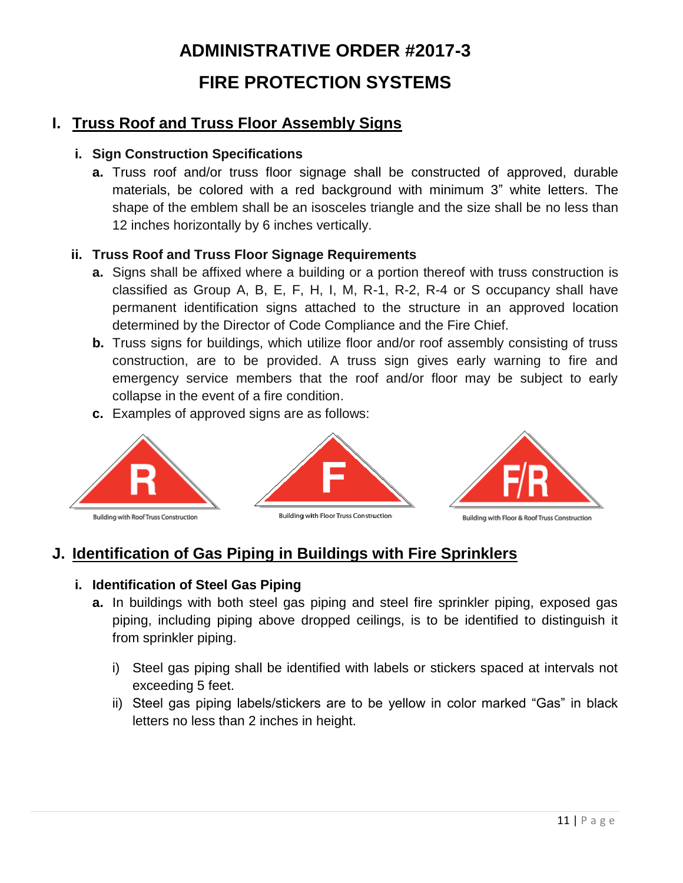## **I. Truss Roof and Truss Floor Assembly Signs**

### **i. Sign Construction Specifications**

**a.** Truss roof and/or truss floor signage shall be constructed of approved, durable materials, be colored with a red background with minimum 3" white letters. The shape of the emblem shall be an isosceles triangle and the size shall be no less than 12 inches horizontally by 6 inches vertically.

### **ii. Truss Roof and Truss Floor Signage Requirements**

- **a.** Signs shall be affixed where a building or a portion thereof with truss construction is classified as Group A, B, E, F, H, I, M, R-1, R-2, R-4 or S occupancy shall have permanent identification signs attached to the structure in an approved location determined by the Director of Code Compliance and the Fire Chief.
- **b.** Truss signs for buildings, which utilize floor and/or roof assembly consisting of truss construction, are to be provided. A truss sign gives early warning to fire and emergency service members that the roof and/or floor may be subject to early collapse in the event of a fire condition.
- **c.** Examples of approved signs are as follows:



## **J. Identification of Gas Piping in Buildings with Fire Sprinklers**

### **i. Identification of Steel Gas Piping**

- **a.** In buildings with both steel gas piping and steel fire sprinkler piping, exposed gas piping, including piping above dropped ceilings, is to be identified to distinguish it from sprinkler piping.
	- i) Steel gas piping shall be identified with labels or stickers spaced at intervals not exceeding 5 feet.
	- ii) Steel gas piping labels/stickers are to be yellow in color marked "Gas" in black letters no less than 2 inches in height.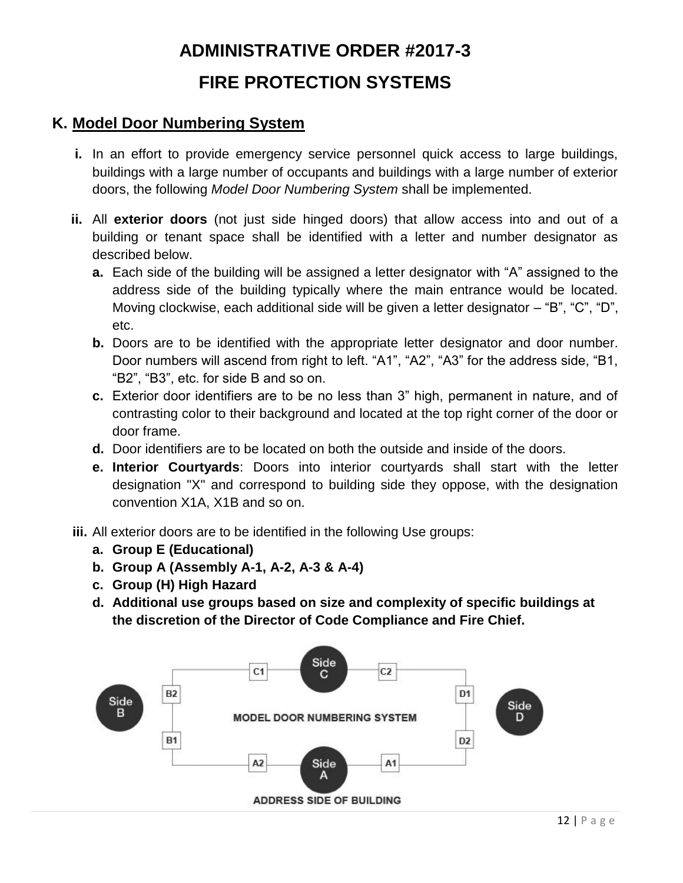## **K. Model Door Numbering System**

- **i.** In an effort to provide emergency service personnel quick access to large buildings, buildings with a large number of occupants and buildings with a large number of exterior doors, the following *Model Door Numbering System* shall be implemented.
- **ii.** All **exterior doors** (not just side hinged doors) that allow access into and out of a building or tenant space shall be identified with a letter and number designator as described below.
	- **a.** Each side of the building will be assigned a letter designator with "A" assigned to the address side of the building typically where the main entrance would be located. Moving clockwise, each additional side will be given a letter designator – "B", "C", "D", etc.
	- **b.** Doors are to be identified with the appropriate letter designator and door number. Door numbers will ascend from right to left. "A1", "A2", "A3" for the address side, "B1, "B2", "B3", etc. for side B and so on.
	- **c.** Exterior door identifiers are to be no less than 3" high, permanent in nature, and of contrasting color to their background and located at the top right corner of the door or door frame.
	- **d.** Door identifiers are to be located on both the outside and inside of the doors.
	- **e. Interior Courtyards**: Doors into interior courtyards shall start with the letter designation "X" and correspond to building side they oppose, with the designation convention X1A, X1B and so on.
- **iii.** All exterior doors are to be identified in the following Use groups:
	- **a. Group E (Educational)**
	- **b. Group A (Assembly A-1, A-2, A-3 & A-4)**
	- **c. Group (H) High Hazard**
	- **d. Additional use groups based on size and complexity of specific buildings at the discretion of the Director of Code Compliance and Fire Chief.**